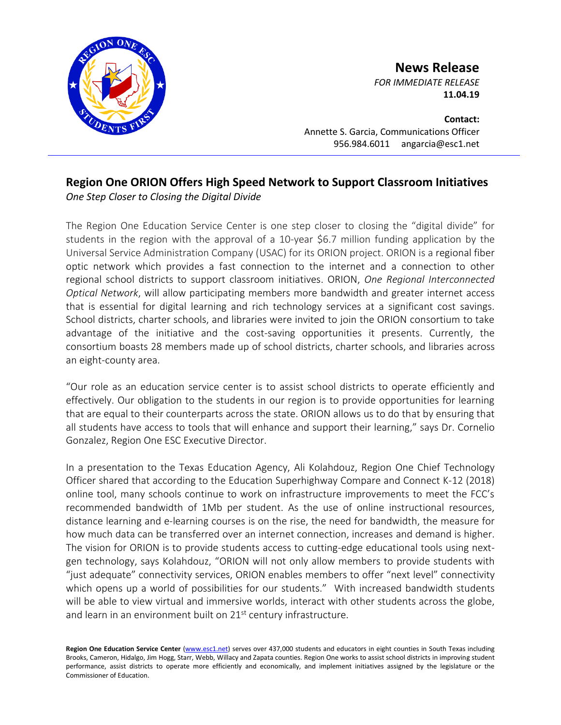

**News Release**

*FOR IMMEDIATE RELEASE* **11.04.19**

**Contact:** Annette S. Garcia, Communications Officer 956.984.6011 angarcia@esc1.net

## **Region One ORION Offers High Speed Network to Support Classroom Initiatives** *One Step Closer to Closing the Digital Divide*

The Region One Education Service Center is one step closer to closing the "digital divide" for students in the region with the approval of a 10-year \$6.7 million funding application by the Universal Service Administration Company (USAC) for its ORION project. ORION is a regional fiber optic network which provides a fast connection to the internet and a connection to other regional school districts to support classroom initiatives. ORION, *One Regional Interconnected Optical Network*, will allow participating members more bandwidth and greater internet access that is essential for digital learning and rich technology services at a significant cost savings. School districts, charter schools, and libraries were invited to join the ORION consortium to take advantage of the initiative and the cost-saving opportunities it presents. Currently, the consortium boasts 28 members made up of school districts, charter schools, and libraries across an eight-county area.

"Our role as an education service center is to assist school districts to operate efficiently and effectively. Our obligation to the students in our region is to provide opportunities for learning that are equal to their counterparts across the state. ORION allows us to do that by ensuring that all students have access to tools that will enhance and support their learning," says Dr. Cornelio Gonzalez, Region One ESC Executive Director.

In a presentation to the Texas Education Agency, Ali Kolahdouz, Region One Chief Technology Officer shared that according to the Education Superhighway Compare and Connect K-12 (2018) online tool, many schools continue to work on infrastructure improvements to meet the FCC's recommended bandwidth of 1Mb per student. As the use of online instructional resources, distance learning and e-learning courses is on the rise, the need for bandwidth, the measure for how much data can be transferred over an internet connection, increases and demand is higher. The vision for ORION is to provide students access to cutting-edge educational tools using nextgen technology, says Kolahdouz, "ORION will not only allow members to provide students with "just adequate" connectivity services, ORION enables members to offer "next level" connectivity which opens up a world of possibilities for our students." With increased bandwidth students will be able to view virtual and immersive worlds, interact with other students across the globe, and learn in an environment built on 21<sup>st</sup> century infrastructure.

Region One Education Service Center [\(www.esc1.net\)](http://www.esc1.net/) serves over 437,000 students and educators in eight counties in South Texas including Brooks, Cameron, Hidalgo, Jim Hogg, Starr, Webb, Willacy and Zapata counties. Region One works to assist school districts in improving student performance, assist districts to operate more efficiently and economically, and implement initiatives assigned by the legislature or the Commissioner of Education.